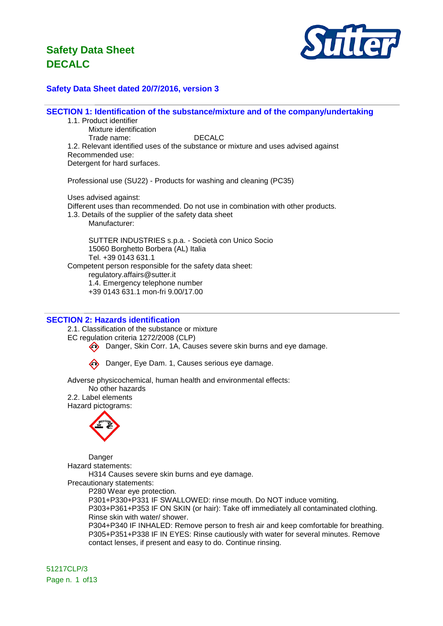

### **Safety Data Sheet dated 20/7/2016, version 3**

**SECTION 1: Identification of the substance/mixture and of the company/undertaking**

1.1. Product identifier Mixture identification Trade name: DECALC 1.2. Relevant identified uses of the substance or mixture and uses advised against Recommended use: Detergent for hard surfaces.

Professional use (SU22) - Products for washing and cleaning (PC35)

Uses advised against: Different uses than recommended. Do not use in combination with other products. 1.3. Details of the supplier of the safety data sheet Manufacturer: SUTTER INDUSTRIES s.p.a. - Società con Unico Socio 15060 Borghetto Borbera (AL) Italia

Tel. +39 0143 631.1 Competent person responsible for the safety data sheet: regulatory.affairs@sutter.it 1.4. Emergency telephone number +39 0143 631.1 mon-fri 9.00/17.00

#### **SECTION 2: Hazards identification**

2.1. Classification of the substance or mixture

EC regulation criteria 1272/2008 (CLP)

Danger, Skin Corr. 1A, Causes severe skin burns and eye damage.

**Co.** Danger, Eye Dam. 1, Causes serious eye damage.

Adverse physicochemical, human health and environmental effects:

No other hazards 2.2. Label elements Hazard pictograms:



Danger Hazard statements:

H314 Causes severe skin burns and eye damage. Precautionary statements:

P280 Wear eye protection.

P301+P330+P331 IF SWALLOWED: rinse mouth. Do NOT induce vomiting. P303+P361+P353 IF ON SKIN (or hair): Take off immediately all contaminated clothing. Rinse skin with water/ shower. P304+P340 IF INHALED: Remove person to fresh air and keep comfortable for breathing.

P305+P351+P338 IF IN EYES: Rinse cautiously with water for several minutes. Remove contact lenses, if present and easy to do. Continue rinsing.

51217CLP/3 Page n. 1 of 13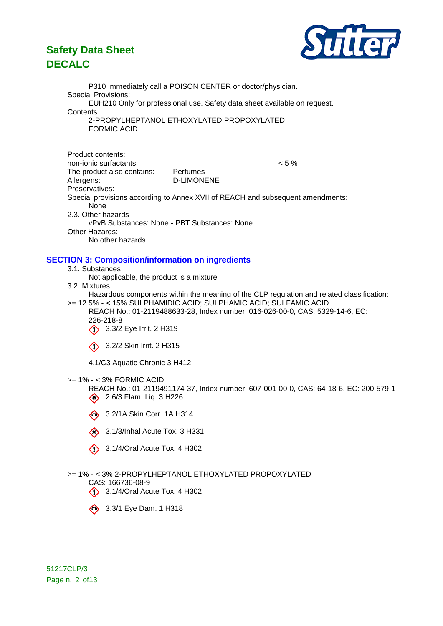

P310 Immediately call a POISON CENTER or doctor/physician. Special Provisions: EUH210 Only for professional use. Safety data sheet available on request. **Contents** 2-PROPYLHEPTANOL ETHOXYLATED PROPOXYLATED FORMIC ACID Product contents: non-ionic surfactants < 5 % The product also contains: Perfumes Allergens: D-LIMONENE Preservatives: Special provisions according to Annex XVII of REACH and subsequent amendments: None 2.3. Other hazards vPvB Substances: None - PBT Substances: None Other Hazards: No other hazards **SECTION 3: Composition/information on ingredients** 3.1. Substances Not applicable, the product is a mixture 3.2. Mixtures Hazardous components within the meaning of the CLP regulation and related classification: >= 12.5% - < 15% SULPHAMIDIC ACID; SULPHAMIC ACID; SULFAMIC ACID

REACH No.: 01-2119488633-28, Index number: 016-026-00-0, CAS: 5329-14-6, EC: 226-218-8

3.3/2 Eye Irrit. 2 H319

3.2/2 Skin Irrit. 2 H315

4.1/C3 Aquatic Chronic 3 H412

#### >= 1% - < 3% FORMIC ACID

REACH No.: 01-2119491174-37, Index number: 607-001-00-0, CAS: 64-18-6, EC: 200-579-1 2.6/3 Flam. Liq. 3 H226

3.2/1A Skin Corr. 1A H314

 $\quad \bullet$  3.1/3/Inhal Acute Tox. 3 H331

 $\langle \rangle$  3.1/4/Oral Acute Tox. 4 H302

### >= 1% - < 3% 2-PROPYLHEPTANOL ETHOXYLATED PROPOXYLATED

CAS: 166736-08-9

 $\langle \rangle$  3.1/4/Oral Acute Tox. 4 H302



51217CLP/3 Page n. 2 of 13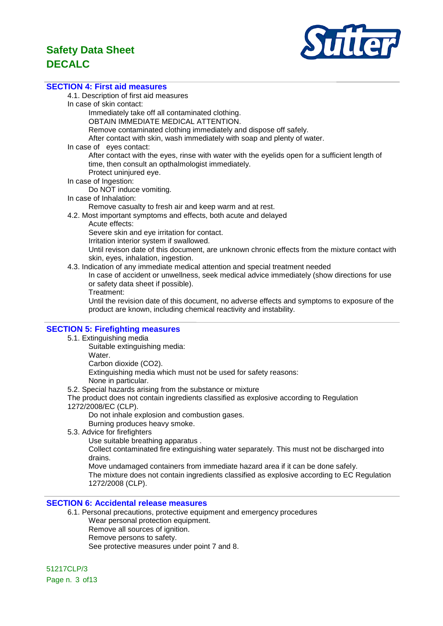

#### **SECTION 4: First aid measures**

4.1. Description of first aid measures

In case of skin contact:

Immediately take off all contaminated clothing.

OBTAIN IMMEDIATE MEDICAL ATTENTION.

Remove contaminated clothing immediately and dispose off safely.

After contact with skin, wash immediately with soap and plenty of water.

In case of eyes contact:

After contact with the eyes, rinse with water with the eyelids open for a sufficient length of time, then consult an opthalmologist immediately.

- Protect uninjured eye.
- In case of Ingestion:

Do NOT induce vomiting.

In case of Inhalation:

Remove casualty to fresh air and keep warm and at rest.

4.2. Most important symptoms and effects, both acute and delayed

Acute effects:

Severe skin and eye irritation for contact.

Irritation interior system if swallowed.

Until revison date of this document, are unknown chronic effects from the mixture contact with skin, eyes, inhalation, ingestion.

4.3. Indication of any immediate medical attention and special treatment needed

In case of accident or unwellness, seek medical advice immediately (show directions for use or safety data sheet if possible).

Treatment:

Until the revision date of this document, no adverse effects and symptoms to exposure of the product are known, including chemical reactivity and instability.

### **SECTION 5: Firefighting measures**

- 5.1. Extinguishing media
	- Suitable extinguishing media:

Water.

Carbon dioxide (CO2).

Extinguishing media which must not be used for safety reasons:

None in particular.

5.2. Special hazards arising from the substance or mixture

The product does not contain ingredients classified as explosive according to Regulation

1272/2008/EC (CLP).

Do not inhale explosion and combustion gases.

Burning produces heavy smoke.

- 5.3. Advice for firefighters
	- Use suitable breathing apparatus .

Collect contaminated fire extinguishing water separately. This must not be discharged into drains.

Move undamaged containers from immediate hazard area if it can be done safely.

The mixture does not contain ingredients classified as explosive according to EC Regulation 1272/2008 (CLP).

### **SECTION 6: Accidental release measures**

6.1. Personal precautions, protective equipment and emergency procedures Wear personal protection equipment. Remove all sources of ignition. Remove persons to safety.

See protective measures under point 7 and 8.

51217CLP/3 Page n. 3 of 13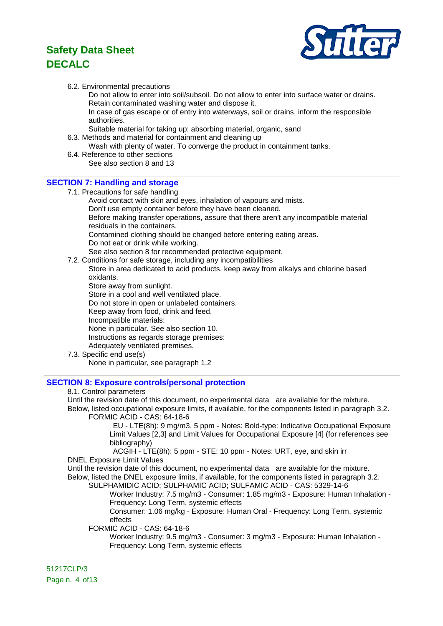

#### 6.2. Environmental precautions

Do not allow to enter into soil/subsoil. Do not allow to enter into surface water or drains. Retain contaminated washing water and dispose it.

In case of gas escape or of entry into waterways, soil or drains, inform the responsible authorities.

- Suitable material for taking up: absorbing material, organic, sand
- 6.3. Methods and material for containment and cleaning up
	- Wash with plenty of water. To converge the product in containment tanks.
- 6.4. Reference to other sections See also section 8 and 13

### **SECTION 7: Handling and storage**

- 7.1. Precautions for safe handling Avoid contact with skin and eyes, inhalation of vapours and mists. Don't use empty container before they have been cleaned. Before making transfer operations, assure that there aren't any incompatible material residuals in the containers. Contamined clothing should be changed before entering eating areas. Do not eat or drink while working. See also section 8 for recommended protective equipment.
- 7.2. Conditions for safe storage, including any incompatibilities
	- Store in area dedicated to acid products, keep away from alkalys and chlorine based oxidants.

Store away from sunlight.

- Store in a cool and well ventilated place.
- Do not store in open or unlabeled containers.

Keep away from food, drink and feed.

Incompatible materials:

None in particular. See also section 10.

Instructions as regards storage premises:

- Adequately ventilated premises.
- 7.3. Specific end use(s)

None in particular, see paragraph 1.2

### **SECTION 8: Exposure controls/personal protection**

#### 8.1. Control parameters

Until the revision date of this document, no experimental data are available for the mixture.

Below, listed occupational exposure limits, if available, for the components listed in paragraph 3.2. FORMIC ACID - CAS: 64-18-6

EU - LTE(8h): 9 mg/m3, 5 ppm - Notes: Bold-type: Indicative Occupational Exposure Limit Values [2,3] and Limit Values for Occupational Exposure [4] (for references see bibliography)

ACGIH - LTE(8h): 5 ppm - STE: 10 ppm - Notes: URT, eye, and skin irr DNEL Exposure Limit Values

Until the revision date of this document, no experimental data are available for the mixture. Below, listed the DNEL exposure limits, if available, for the components listed in paragraph 3.2. SULPHAMIDIC ACID; SULPHAMIC ACID; SULFAMIC ACID - CAS: 5329-14-6

Worker Industry: 7.5 mg/m3 - Consumer: 1.85 mg/m3 - Exposure: Human Inhalation - Frequency: Long Term, systemic effects

Consumer: 1.06 mg/kg - Exposure: Human Oral - Frequency: Long Term, systemic effects

FORMIC ACID - CAS: 64-18-6

Worker Industry: 9.5 mg/m3 - Consumer: 3 mg/m3 - Exposure: Human Inhalation - Frequency: Long Term, systemic effects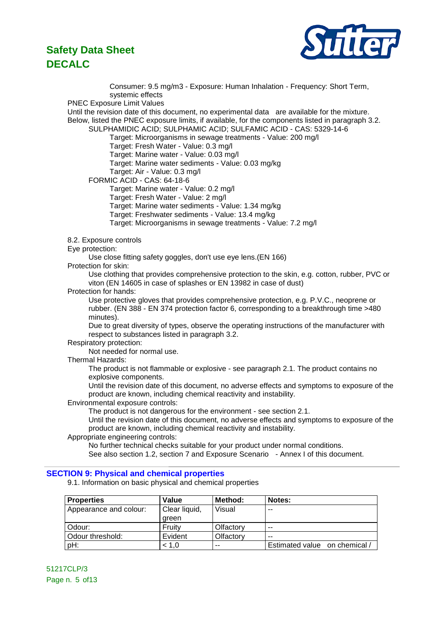

Consumer: 9.5 mg/m3 - Exposure: Human Inhalation - Frequency: Short Term, systemic effects PNEC Exposure Limit Values Until the revision date of this document, no experimental data are available for the mixture. Below, listed the PNEC exposure limits, if available, for the components listed in paragraph 3.2. SULPHAMIDIC ACID; SULPHAMIC ACID; SULFAMIC ACID - CAS: 5329-14-6 Target: Microorganisms in sewage treatments - Value: 200 mg/l Target: Fresh Water - Value: 0.3 mg/l Target: Marine water - Value: 0.03 mg/l Target: Marine water sediments - Value: 0.03 mg/kg Target: Air - Value: 0.3 mg/l FORMIC ACID - CAS: 64-18-6 Target: Marine water - Value: 0.2 mg/l Target: Fresh Water - Value: 2 mg/l Target: Marine water sediments - Value: 1.34 mg/kg Target: Freshwater sediments - Value: 13.4 mg/kg Target: Microorganisms in sewage treatments - Value: 7.2 mg/l 8.2. Exposure controls Eye protection: Use close fitting safety goggles, don't use eye lens.(EN 166) Protection for skin: Use clothing that provides comprehensive protection to the skin, e.g. cotton, rubber, PVC or viton (EN 14605 in case of splashes or EN 13982 in case of dust) Protection for hands: Use protective gloves that provides comprehensive protection, e.g. P.V.C., neoprene or rubber. (EN 388 - EN 374 protection factor 6, corresponding to a breakthrough time >480 minutes). Due to great diversity of types, observe the operating instructions of the manufacturer with respect to substances listed in paragraph 3.2. Respiratory protection: Not needed for normal use. Thermal Hazards: The product is not flammable or explosive - see paragraph 2.1. The product contains no explosive components. Until the revision date of this document, no adverse effects and symptoms to exposure of the product are known, including chemical reactivity and instability. Environmental exposure controls: The product is not dangerous for the environment - see section 2.1. Until the revision date of this document, no adverse effects and symptoms to exposure of the product are known, including chemical reactivity and instability. Appropriate engineering controls: No further technical checks suitable for your product under normal conditions. See also section 1.2, section 7 and Exposure Scenario - Annex I of this document. **SECTION 9: Physical and chemical properties** 9.1. Information on basic physical and chemical properties

| <b>Properties</b>      | Value         | Method:   | Notes:                        |
|------------------------|---------------|-----------|-------------------------------|
| Appearance and colour: | Clear liquid, | Visual    | --                            |
|                        | areen         |           |                               |
| Odour:                 | Fruity        | Olfactory | $- -$                         |
| Odour threshold:       | Evident       | Olfactory | $-$                           |
| pH:                    | < 1.0         | --        | Estimated value on chemical / |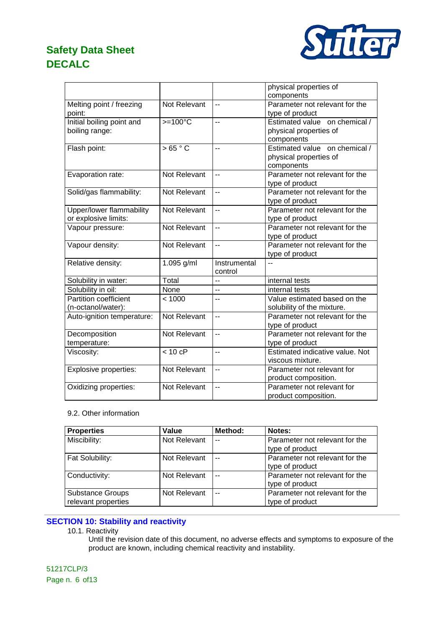

|                            |                  |                          | physical properties of          |
|----------------------------|------------------|--------------------------|---------------------------------|
|                            |                  |                          | components                      |
| Melting point / freezing   | Not Relevant     | $\overline{a}$           | Parameter not relevant for the  |
| point:                     |                  |                          | type of product                 |
| Initial boiling point and  | $>=100^{\circ}C$ | $\overline{a}$           | Estimated value on chemical /   |
| boiling range:             |                  |                          | physical properties of          |
|                            |                  |                          | components                      |
| Flash point:               | >65 °C           | $\overline{\phantom{a}}$ | Estimated value on chemical /   |
|                            |                  |                          | physical properties of          |
|                            |                  |                          | components                      |
| Evaporation rate:          | Not Relevant     | $\overline{a}$           | Parameter not relevant for the  |
|                            |                  |                          | type of product                 |
| Solid/gas flammability:    | Not Relevant     | $\overline{a}$           | Parameter not relevant for the  |
|                            |                  |                          | type of product                 |
| Upper/lower flammability   | Not Relevant     | $\overline{a}$           | Parameter not relevant for the  |
| or explosive limits:       |                  |                          | type of product                 |
| Vapour pressure:           | Not Relevant     | $\overline{a}$           | Parameter not relevant for the  |
|                            |                  |                          | type of product                 |
| Vapour density:            | Not Relevant     | $-$                      | Parameter not relevant for the  |
|                            |                  |                          | type of product                 |
| Relative density:          | 1.095 g/ml       | Instrumental             | $\overline{a}$                  |
|                            |                  | control                  |                                 |
| Solubility in water:       | Total            | Ξ.                       | internal tests                  |
| Solubility in oil:         | None             | $\overline{a}$           | internal tests                  |
| Partition coefficient      | < 1000           | $-$                      | Value estimated based on the    |
| (n-octanol/water):         |                  |                          | solubility of the mixture.      |
| Auto-ignition temperature: | Not Relevant     | $\overline{\phantom{a}}$ | Parameter not relevant for the  |
|                            |                  |                          | type of product                 |
| Decomposition              | Not Relevant     | $\overline{a}$           | Parameter not relevant for the  |
| temperature:               |                  |                          | type of product                 |
| Viscosity:                 | $< 10$ cP        | --                       | Estimated indicative value. Not |
|                            |                  |                          | viscous mixture.                |
| Explosive properties:      | Not Relevant     | $\overline{a}$           | Parameter not relevant for      |
|                            |                  |                          | product composition.            |
| Oxidizing properties:      | Not Relevant     | Ξ.                       | Parameter not relevant for      |
|                            |                  |                          | product composition.            |

#### 9.2. Other information

| <b>Properties</b>                              | Value        | Method: | Notes:                                            |
|------------------------------------------------|--------------|---------|---------------------------------------------------|
| Miscibility:                                   | Not Relevant | $-$     | Parameter not relevant for the<br>type of product |
| Fat Solubility:                                | Not Relevant | $-$     | Parameter not relevant for the<br>type of product |
| Conductivity:                                  | Not Relevant | $-$     | Parameter not relevant for the<br>type of product |
| <b>Substance Groups</b><br>relevant properties | Not Relevant | $-$     | Parameter not relevant for the<br>type of product |

### **SECTION 10: Stability and reactivity**

#### 10.1. Reactivity

Until the revision date of this document, no adverse effects and symptoms to exposure of the product are known, including chemical reactivity and instability.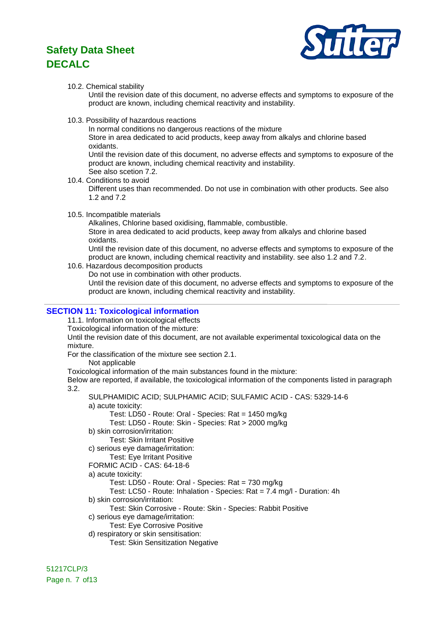

#### 10.2. Chemical stability

Until the revision date of this document, no adverse effects and symptoms to exposure of the product are known, including chemical reactivity and instability.

10.3. Possibility of hazardous reactions

In normal conditions no dangerous reactions of the mixture

Store in area dedicated to acid products, keep away from alkalys and chlorine based oxidants.

Until the revision date of this document, no adverse effects and symptoms to exposure of the product are known, including chemical reactivity and instability. See also scetion 7.2.

- 10.4. Conditions to avoid Different uses than recommended. Do not use in combination with other products. See also 1.2 and 7.2
- 10.5. Incompatible materials

Alkalines, Chlorine based oxidising, flammable, combustible. Store in area dedicated to acid products, keep away from alkalys and chlorine based oxidants.

Until the revision date of this document, no adverse effects and symptoms to exposure of the product are known, including chemical reactivity and instability. see also 1.2 and 7.2.

10.6. Hazardous decomposition products

Do not use in combination with other products.

Until the revision date of this document, no adverse effects and symptoms to exposure of the product are known, including chemical reactivity and instability.

### **SECTION 11: Toxicological information**

11.1. Information on toxicological effects

Toxicological information of the mixture:

Until the revision date of this document, are not available experimental toxicological data on the mixture.

For the classification of the mixture see section 2.1.

Not applicable

Toxicological information of the main substances found in the mixture:

Below are reported, if available, the toxicological information of the components listed in paragraph 3.2.

SULPHAMIDIC ACID; SULPHAMIC ACID; SULFAMIC ACID - CAS: 5329-14-6 a) acute toxicity:

Test: LD50 - Route: Oral - Species: Rat = 1450 mg/kg

- Test: LD50 Route: Skin Species: Rat > 2000 mg/kg
- b) skin corrosion/irritation:

Test: Skin Irritant Positive

c) serious eye damage/irritation:

Test: Eye Irritant Positive

FORMIC ACID - CAS: 64-18-6

a) acute toxicity:

Test: LD50 - Route: Oral - Species: Rat = 730 mg/kg

Test: LC50 - Route: Inhalation - Species: Rat = 7.4 mg/l - Duration: 4h

b) skin corrosion/irritation:

Test: Skin Corrosive - Route: Skin - Species: Rabbit Positive

- c) serious eye damage/irritation:
	- Test: Eye Corrosive Positive
- d) respiratory or skin sensitisation: Test: Skin Sensitization Negative

51217CLP/3 Page n. 7 of 13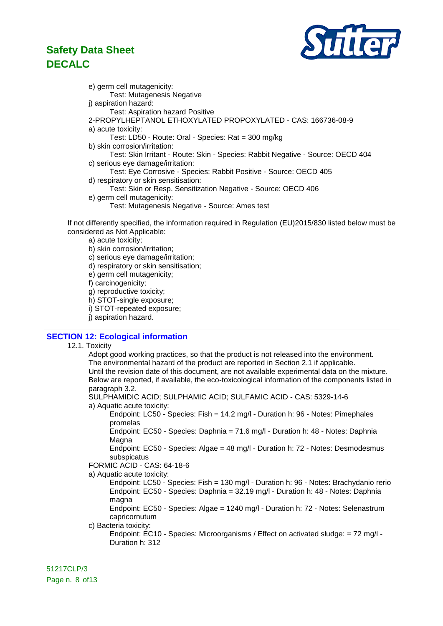

e) germ cell mutagenicity: Test: Mutagenesis Negative j) aspiration hazard: Test: Aspiration hazard Positive 2-PROPYLHEPTANOL ETHOXYLATED PROPOXYLATED - CAS: 166736-08-9 a) acute toxicity: Test: LD50 - Route: Oral - Species: Rat = 300 mg/kg b) skin corrosion/irritation: Test: Skin Irritant - Route: Skin - Species: Rabbit Negative - Source: OECD 404 c) serious eye damage/irritation: Test: Eye Corrosive - Species: Rabbit Positive - Source: OECD 405 d) respiratory or skin sensitisation: Test: Skin or Resp. Sensitization Negative - Source: OECD 406 e) germ cell mutagenicity:

Test: Mutagenesis Negative - Source: Ames test

If not differently specified, the information required in Regulation (EU)2015/830 listed below must be considered as Not Applicable:

a) acute toxicity;

b) skin corrosion/irritation;

c) serious eye damage/irritation;

- d) respiratory or skin sensitisation;
- e) germ cell mutagenicity;

f) carcinogenicity;

g) reproductive toxicity;

h) STOT-single exposure;

i) STOT-repeated exposure;

j) aspiration hazard.

### **SECTION 12: Ecological information**

#### 12.1. Toxicity

Adopt good working practices, so that the product is not released into the environment. The environmental hazard of the product are reported in Section 2.1 if applicable. Until the revision date of this document, are not available experimental data on the mixture. Below are reported, if available, the eco-toxicological information of the components listed in paragraph 3.2.

SULPHAMIDIC ACID; SULPHAMIC ACID; SULFAMIC ACID - CAS: 5329-14-6 a) Aquatic acute toxicity:

Endpoint: LC50 - Species: Fish = 14.2 mg/l - Duration h: 96 - Notes: Pimephales promelas

Endpoint: EC50 - Species: Daphnia = 71.6 mg/l - Duration h: 48 - Notes: Daphnia Magna

Endpoint: EC50 - Species: Algae = 48 mg/l - Duration h: 72 - Notes: Desmodesmus subspicatus

FORMIC ACID - CAS: 64-18-6

a) Aquatic acute toxicity:

Endpoint: LC50 - Species: Fish = 130 mg/l - Duration h: 96 - Notes: Brachydanio rerio Endpoint: EC50 - Species: Daphnia = 32.19 mg/l - Duration h: 48 - Notes: Daphnia magna

Endpoint: EC50 - Species: Algae = 1240 mg/l - Duration h: 72 - Notes: Selenastrum capricornutum

c) Bacteria toxicity:

Endpoint: EC10 - Species: Microorganisms / Effect on activated sludge: = 72 mg/l - Duration h: 312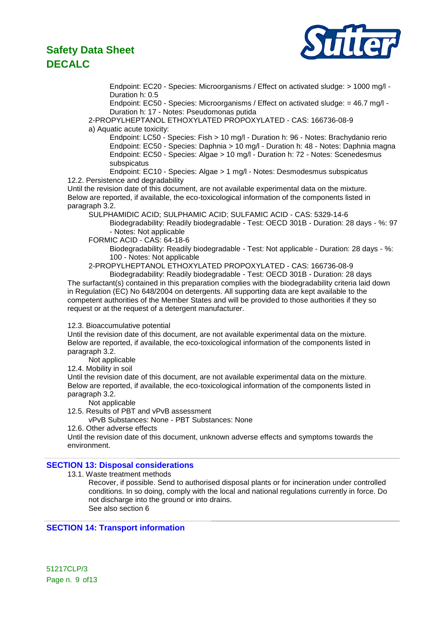

Endpoint: EC20 - Species: Microorganisms / Effect on activated sludge: > 1000 mg/l - Duration h: 0.5

Endpoint: EC50 - Species: Microorganisms / Effect on activated sludge: = 46.7 mg/l - Duration h: 17 - Notes: Pseudomonas putida

2-PROPYLHEPTANOL ETHOXYLATED PROPOXYLATED - CAS: 166736-08-9 a) Aquatic acute toxicity:

Endpoint: LC50 - Species: Fish > 10 mg/l - Duration h: 96 - Notes: Brachydanio rerio Endpoint: EC50 - Species: Daphnia > 10 mg/l - Duration h: 48 - Notes: Daphnia magna Endpoint: EC50 - Species: Algae > 10 mg/l - Duration h: 72 - Notes: Scenedesmus subspicatus

Endpoint: EC10 - Species: Algae > 1 mg/l - Notes: Desmodesmus subspicatus 12.2. Persistence and degradability

Until the revision date of this document, are not available experimental data on the mixture. Below are reported, if available, the eco-toxicological information of the components listed in paragraph 3.2.

SULPHAMIDIC ACID; SULPHAMIC ACID; SULFAMIC ACID - CAS: 5329-14-6 Biodegradability: Readily biodegradable - Test: OECD 301B - Duration: 28 days - %: 97 - Notes: Not applicable

FORMIC ACID - CAS: 64-18-6

Biodegradability: Readily biodegradable - Test: Not applicable - Duration: 28 days - %: 100 - Notes: Not applicable

2-PROPYLHEPTANOL ETHOXYLATED PROPOXYLATED - CAS: 166736-08-9

Biodegradability: Readily biodegradable - Test: OECD 301B - Duration: 28 days The surfactant(s) contained in this preparation complies with the biodegradability criteria laid down in Regulation (EC) No 648/2004 on detergents. All supporting data are kept available to the competent authorities of the Member States and will be provided to those authorities if they so request or at the request of a detergent manufacturer.

12.3. Bioaccumulative potential

Until the revision date of this document, are not available experimental data on the mixture. Below are reported, if available, the eco-toxicological information of the components listed in paragraph 3.2.

Not applicable

12.4. Mobility in soil

Until the revision date of this document, are not available experimental data on the mixture. Below are reported, if available, the eco-toxicological information of the components listed in paragraph 3.2.

Not applicable

12.5. Results of PBT and vPvB assessment

vPvB Substances: None - PBT Substances: None

12.6. Other adverse effects

Until the revision date of this document, unknown adverse effects and symptoms towards the environment.

### **SECTION 13: Disposal considerations**

13.1. Waste treatment methods

Recover, if possible. Send to authorised disposal plants or for incineration under controlled conditions. In so doing, comply with the local and national regulations currently in force. Do not discharge into the ground or into drains. See also section 6

### **SECTION 14: Transport information**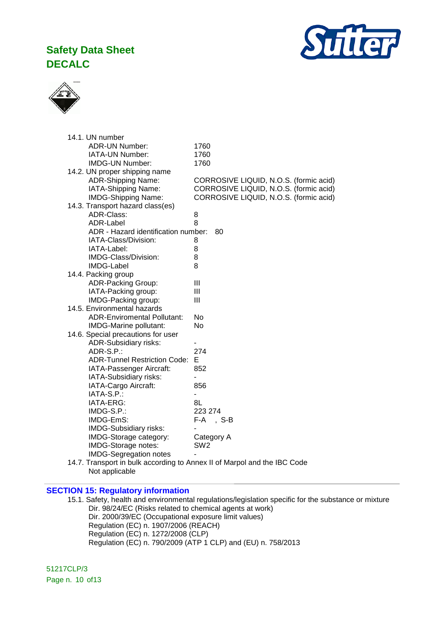



| 14.1. UN number                     |                                        |
|-------------------------------------|----------------------------------------|
| <b>ADR-UN Number:</b>               | 1760                                   |
| IATA-UN Number:                     | 1760                                   |
| <b>IMDG-UN Number:</b>              | 1760                                   |
| 14.2. UN proper shipping name       |                                        |
| <b>ADR-Shipping Name:</b>           | CORROSIVE LIQUID, N.O.S. (formic acid) |
| IATA-Shipping Name:                 | CORROSIVE LIQUID, N.O.S. (formic acid) |
| <b>IMDG-Shipping Name:</b>          | CORROSIVE LIQUID, N.O.S. (formic acid) |
| 14.3. Transport hazard class(es)    |                                        |
| ADR-Class:                          | 8                                      |
| ADR-Label                           | 8                                      |
| ADR - Hazard identification number: | 80                                     |
| IATA-Class/Division:                | 8                                      |
| IATA-Label:                         | 8                                      |
| IMDG-Class/Division:                | 8                                      |
| IMDG-Label                          | 8                                      |
| 14.4. Packing group                 |                                        |
| <b>ADR-Packing Group:</b>           | Ш                                      |
| IATA-Packing group:                 | Ш                                      |
| IMDG-Packing group:                 | Ш                                      |
| 14.5. Environmental hazards         |                                        |
| <b>ADR-Enviromental Pollutant:</b>  | No                                     |
| IMDG-Marine pollutant:              | <b>No</b>                              |
| 14.6. Special precautions for user  |                                        |
| <b>ADR-Subsidiary risks:</b>        |                                        |
| ADR-S.P.:                           | 274                                    |
| <b>ADR-Tunnel Restriction Code:</b> | Е                                      |
| IATA-Passenger Aircraft:            | 852                                    |
| IATA-Subsidiary risks:              |                                        |
| IATA-Cargo Aircraft:                | 856                                    |
| IATA-S.P.:                          | $\overline{\phantom{a}}$               |
| IATA-ERG:                           | 8L                                     |
| IMDG-S.P.:                          | 223 274                                |
| IMDG-EmS:                           | F-A<br>, S-B                           |
| IMDG-Subsidiary risks:              |                                        |
| IMDG-Storage category:              | Category A                             |
| IMDG-Storage notes:                 | SW <sub>2</sub>                        |
| <b>IMDG-Segregation notes</b>       |                                        |

14.7. Transport in bulk according to Annex II of Marpol and the IBC Code Not applicable

#### **SECTION 15: Regulatory information**

15.1. Safety, health and environmental regulations/legislation specific for the substance or mixture Dir. 98/24/EC (Risks related to chemical agents at work) Dir. 2000/39/EC (Occupational exposure limit values) Regulation (EC) n. 1907/2006 (REACH) Regulation (EC) n. 1272/2008 (CLP) Regulation (EC) n. 790/2009 (ATP 1 CLP) and (EU) n. 758/2013

51217CLP/3 Page n. 10 of13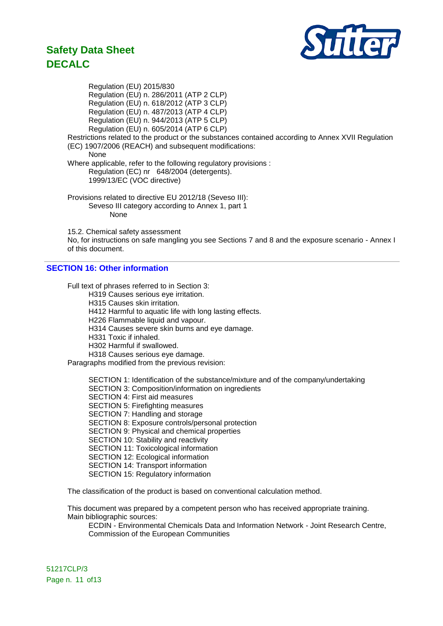

Regulation (EU) 2015/830 Regulation (EU) n. 286/2011 (ATP 2 CLP) Regulation (EU) n. 618/2012 (ATP 3 CLP) Regulation (EU) n. 487/2013 (ATP 4 CLP) Regulation (EU) n. 944/2013 (ATP 5 CLP) Regulation (EU) n. 605/2014 (ATP 6 CLP) Restrictions related to the product or the substances contained according to Annex XVII Regulation (EC) 1907/2006 (REACH) and subsequent modifications: None Where applicable, refer to the following regulatory provisions : Regulation (EC) nr 648/2004 (detergents). 1999/13/EC (VOC directive) Provisions related to directive EU 2012/18 (Seveso III): Seveso III category according to Annex 1, part 1 None

15.2. Chemical safety assessment

No, for instructions on safe mangling you see Sections 7 and 8 and the exposure scenario - Annex I of this document.

### **SECTION 16: Other information**

Full text of phrases referred to in Section 3:

- H319 Causes serious eye irritation.
- H315 Causes skin irritation.

H412 Harmful to aquatic life with long lasting effects.

- H226 Flammable liquid and vapour.
- H314 Causes severe skin burns and eye damage.
- H331 Toxic if inhaled.
- H302 Harmful if swallowed.

H318 Causes serious eye damage.

Paragraphs modified from the previous revision:

SECTION 1: Identification of the substance/mixture and of the company/undertaking SECTION 3: Composition/information on ingredients SECTION 4: First aid measures SECTION 5: Firefighting measures SECTION 7: Handling and storage SECTION 8: Exposure controls/personal protection SECTION 9: Physical and chemical properties SECTION 10: Stability and reactivity SECTION 11: Toxicological information SECTION 12: Ecological information SECTION 14: Transport information SECTION 15: Regulatory information

The classification of the product is based on conventional calculation method.

This document was prepared by a competent person who has received appropriate training. Main bibliographic sources:

ECDIN - Environmental Chemicals Data and Information Network - Joint Research Centre, Commission of the European Communities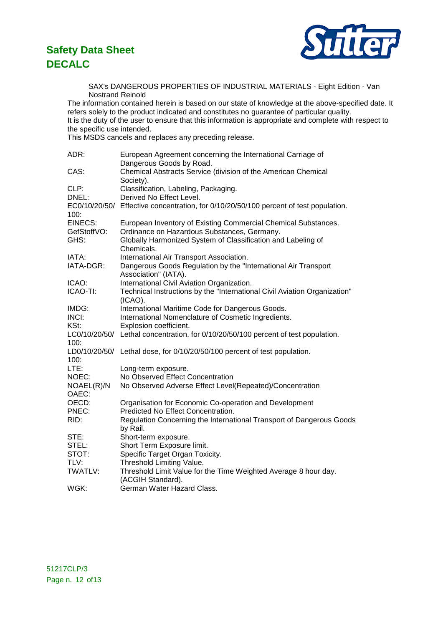

SAX's DANGEROUS PROPERTIES OF INDUSTRIAL MATERIALS - Eight Edition - Van Nostrand Reinold

The information contained herein is based on our state of knowledge at the above-specified date. It refers solely to the product indicated and constitutes no guarantee of particular quality. It is the duty of the user to ensure that this information is appropriate and complete with respect to the specific use intended.

This MSDS cancels and replaces any preceding release.

| ADR:           | European Agreement concerning the International Carriage of                            |
|----------------|----------------------------------------------------------------------------------------|
|                | Dangerous Goods by Road.                                                               |
| CAS:           | Chemical Abstracts Service (division of the American Chemical<br>Society).             |
| CLP:           | Classification, Labeling, Packaging.                                                   |
| DNEL:          | Derived No Effect Level.                                                               |
|                | EC0/10/20/50/ Effective concentration, for 0/10/20/50/100 percent of test population.  |
| 100:           |                                                                                        |
| <b>EINECS:</b> | European Inventory of Existing Commercial Chemical Substances.                         |
| GefStoffVO:    | Ordinance on Hazardous Substances, Germany.                                            |
| GHS:           | Globally Harmonized System of Classification and Labeling of<br>Chemicals.             |
| IATA:          | International Air Transport Association.                                               |
| IATA-DGR:      | Dangerous Goods Regulation by the "International Air Transport<br>Association" (IATA). |
| ICAO:          | International Civil Aviation Organization.                                             |
| ICAO-TI:       | Technical Instructions by the "International Civil Aviation Organization"              |
|                | $(ICAO)$ .                                                                             |
| IMDG:          | International Maritime Code for Dangerous Goods.                                       |
| INCI:          | International Nomenclature of Cosmetic Ingredients.                                    |
| KSt:           | Explosion coefficient.                                                                 |
| 100:           | LC0/10/20/50/ Lethal concentration, for 0/10/20/50/100 percent of test population.     |
|                | LD0/10/20/50/ Lethal dose, for 0/10/20/50/100 percent of test population.              |
| 100:           |                                                                                        |
| LTE:           | Long-term exposure.                                                                    |
| NOEC:          | No Observed Effect Concentration                                                       |
| NOAEL(R)/N     | No Observed Adverse Effect Level(Repeated)/Concentration                               |
| OAEC:          |                                                                                        |
| OECD:          | Organisation for Economic Co-operation and Development                                 |
| PNEC:          | Predicted No Effect Concentration.                                                     |
| RID:           | Regulation Concerning the International Transport of Dangerous Goods                   |
|                | by Rail.                                                                               |
| STE:           | Short-term exposure.                                                                   |
| STEL:          | Short Term Exposure limit.                                                             |
| STOT:          | Specific Target Organ Toxicity.                                                        |
| TLV:           | Threshold Limiting Value.                                                              |
| TWATLV:        | Threshold Limit Value for the Time Weighted Average 8 hour day.<br>(ACGIH Standard).   |
| WGK:           | German Water Hazard Class.                                                             |